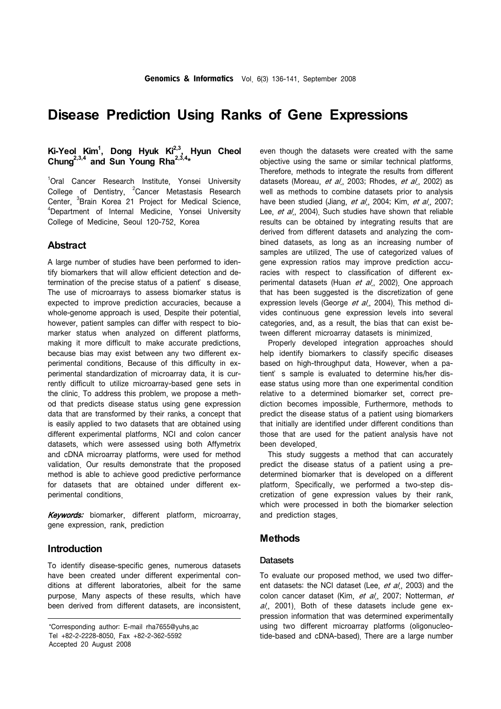# **Disease Prediction Using Ranks of Gene Expressions**

# Ki-Yeol Kim<sup>1</sup>, Dong Hyuk Ki<sup>2,3</sup>, Hyun Cheol Chung<sup>2,3,4</sup> and Sun Young Rha<sup>2,3,4\*</sup>

<sup>1</sup>Oral Cancer Research Institute, Yonsei University College of Dentistry, <sup>2</sup>Cancer Metastasis Research Center, <sup>3</sup>Brain Korea 21 Project for Medical Science,<br><sup>4</sup>Department of Internal Medicine, Xancei University <sup>4</sup>Department of Internal Medicine, Yonsei University College of Medicine, Seoul 120-752, Korea

## **Abstract**

A large number of studies have been performed to identify biomarkers that will allow efficient detection and determination of the precise status of a patient's disease. The use of microarrays to assess biomarker status is expected to improve prediction accuracies, because a whole-genome approach is used. Despite their potential, however, patient samples can differ with respect to biomarker status when analyzed on different platforms, making it more difficult to make accurate predictions, because bias may exist between any two different experimental conditions. Because of this difficulty in experimental standardization of microarray data, it is currently difficult to utilize microarray-based gene sets in the clinic. To address this problem, we propose a method that predicts disease status using gene expression data that are transformed by their ranks, a concept that is easily applied to two datasets that are obtained using different experimental platforms. NCI and colon cancer datasets, which were assessed using both Affymetrix and cDNA microarray platforms, were used for method validation. Our results demonstrate that the proposed method is able to achieve good predictive performance for datasets that are obtained under different experimental conditions.

Keywords: biomarker, different platform, microarray, gene expression, rank, prediction

# **Introduction**

To identify disease-specific genes, numerous datasets have been created under different experimental conditions at different laboratories, albeit for the same purpose. Many aspects of these results, which have been derived from different datasets, are inconsistent,

even though the datasets were created with the same objective using the same or similar technical platforms. Therefore, methods to integrate the results from different datasets (Moreau, et al., 2003; Rhodes, et al., 2002) as well as methods to combine datasets prior to analysis have been studied (Jiang, et al., 2004; Kim, et al., 2007; Lee, et al., 2004). Such studies have shown that reliable results can be obtained by integrating results that are derived from different datasets and analyzing the combined datasets, as long as an increasing number of samples are utilized. The use of categorized values of gene expression ratios may improve prediction accuracies with respect to classification of different experimental datasets (Huan et al., 2002). One approach that has been suggested is the discretization of gene expression levels (George et al., 2004). This method divides continuous gene expression levels into several categories, and, as a result, the bias that can exist between different microarray datasets is minimized.

 Properly developed integration approaches should help identify biomarkers to classify specific diseases based on high-throughput data. However, when a patient' s sample is evaluated to determine his/her disease status using more than one experimental condition relative to a determined biomarker set, correct prediction becomes impossible. Furthermore, methods to predict the disease status of a patient using biomarkers that initially are identified under different conditions than those that are used for the patient analysis have not been developed.

 This study suggests a method that can accurately predict the disease status of a patient using a predetermined biomarker that is developed on a different platform. Specifically, we performed a two-step discretization of gene expression values by their rank, which were processed in both the biomarker selection and prediction stages.

## **Methods**

#### **Datasets**

To evaluate our proposed method, we used two different datasets: the NCI dataset (Lee, et al., 2003) and the colon cancer dataset (Kim, et al., 2007; Notterman, et  $al$ , 2001). Both of these datasets include gene expression information that was determined experimentally using two different microarray platforms (oligonucleotide-based and cDNA-based). There are a large number

<sup>\*</sup>Corresponding author: E-mail rha7655@yuhs.ac Tel +82-2-2228-8050, Fax +82-2-362-5592 Accepted 20 August 2008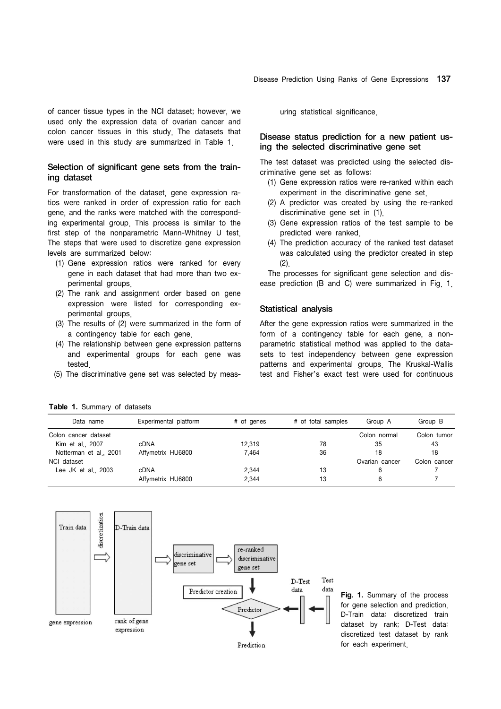of cancer tissue types in the NCI dataset; however, we used only the expression data of ovarian cancer and colon cancer tissues in this study. The datasets that were used in this study are summarized in Table 1.

#### Selection of significant gene sets from the training dataset

For transformation of the dataset, gene expression ratios were ranked in order of expression ratio for each gene, and the ranks were matched with the corresponding experimental group. This process is similar to the first step of the nonparametric Mann-Whitney U test. The steps that were used to discretize gene expression levels are summarized below:

- (1) Gene expression ratios were ranked for every gene in each dataset that had more than two experimental groups.
- (2) The rank and assignment order based on gene expression were listed for corresponding experimental groups.
- (3) The results of (2) were summarized in the form of a contingency table for each gene.
- (4) The relationship between gene expression patterns and experimental groups for each gene was tested.
- (5) The discriminative gene set was selected by meas-

uring statistical significance.

#### Disease status prediction for a new patient using the selected discriminative gene set

The test dataset was predicted using the selected discriminative gene set as follows:

- (1) Gene expression ratios were re-ranked within each experiment in the discriminative gene set.
- (2) A predictor was created by using the re-ranked discriminative gene set in (1).
- (3) Gene expression ratios of the test sample to be predicted were ranked.
- (4) The prediction accuracy of the ranked test dataset was calculated using the predictor created in step  $(2)$ .

 The processes for significant gene selection and disease prediction (B and C) were summarized in Fig. 1.

#### Statistical analysis

After the gene expression ratios were summarized in the form of a contingency table for each gene, a nonparametric statistical method was applied to the datasets to test independency between gene expression patterns and experimental groups. The Kruskal-Wallis test and Fisher's exact test were used for continuous

**Table 1.** Summary of datasets

| Data name              | Experimental platform | # of genes | # of total samples | Group A        | Group B      |
|------------------------|-----------------------|------------|--------------------|----------------|--------------|
| Colon cancer dataset   |                       |            | Colon normal       | Colon tumor    |              |
| Kim et al., 2007       | <b>cDNA</b>           | 12,319     | 78                 | 35             | 43           |
| Notterman et al., 2001 | Affymetrix HU6800     | 7.464      | 36                 | 18             | 18           |
| NCI dataset            |                       |            |                    | Ovarian cancer | Colon cancer |
| Lee JK et al., $2003$  | <b>cDNA</b>           | 2,344      | 13                 | 6              |              |
|                        | Affymetrix HU6800     | 2,344      | 13                 |                |              |



**Fig. 1.** Summary of the process for gene selection and prediction. D-Train data: discretized train dataset by rank; D-Test data: discretized test dataset by rank for each experiment.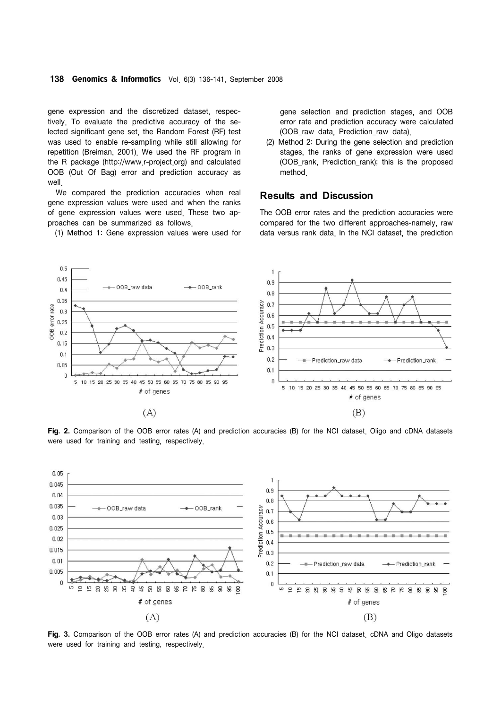gene expression and the discretized dataset, respectively. To evaluate the predictive accuracy of the selected significant gene set, the Random Forest (RF) test was used to enable re-sampling while still allowing for repetition (Breiman, 2001). We used the RF program in the R package (http://www.r-project.org) and calculated OOB (Out Of Bag) error and prediction accuracy as well

 We compared the prediction accuracies when real gene expression values were used and when the ranks of gene expression values were used. These two approaches can be summarized as follows.

(1) Method 1: Gene expression values were used for

gene selection and prediction stages, and OOB error rate and prediction accuracy were calculated (OOB\_raw data, Prediction\_raw data).

 (2) Method 2: During the gene selection and prediction stages, the ranks of gene expression were used (OOB\_rank, Prediction\_rank); this is the proposed method.

## **Results and Discussion**

The OOB error rates and the prediction accuracies were compared for the two different approaches-namely, raw data versus rank data. In the NCI dataset, the prediction



**Fig. 2.** Comparison of the OOB error rates (A) and prediction accuracies (B) for the NCI dataset. Oligo and cDNA datasets were used for training and testing, respectively.



**Fig. 3.** Comparison of the OOB error rates (A) and prediction accuracies (B) for the NCI dataset. cDNA and Oligo datasets were used for training and testing, respectively.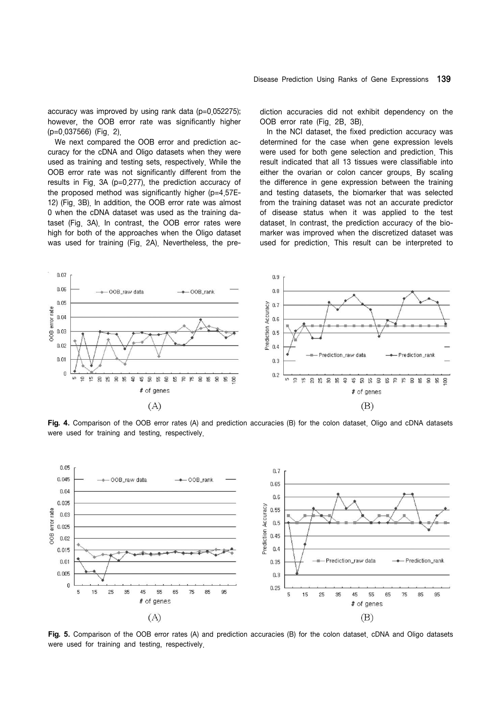accuracy was improved by using rank data (p=0.052275); however, the OOB error rate was significantly higher (p=0.037566) (Fig. 2).

 We next compared the OOB error and prediction accuracy for the cDNA and Oligo datasets when they were used as training and testing sets, respectively. While the OOB error rate was not significantly different from the results in Fig. 3A (p=0.277), the prediction accuracy of the proposed method was significantly higher (p=4.57E-12) (Fig. 3B). In addition, the OOB error rate was almost 0 when the cDNA dataset was used as the training dataset (Fig. 3A). In contrast, the OOB error rates were high for both of the approaches when the Oligo dataset was used for training (Fig. 2A). Nevertheless, the prediction accuracies did not exhibit dependency on the OOB error rate (Fig. 2B, 3B).

 In the NCI dataset, the fixed prediction accuracy was determined for the case when gene expression levels were used for both gene selection and prediction. This result indicated that all 13 tissues were classifiable into either the ovarian or colon cancer groups. By scaling the difference in gene expression between the training and testing datasets, the biomarker that was selected from the training dataset was not an accurate predictor of disease status when it was applied to the test dataset. In contrast, the prediction accuracy of the biomarker was improved when the discretized dataset was used for prediction. This result can be interpreted to



**Fig. 4.** Comparison of the OOB error rates (A) and prediction accuracies (B) for the colon dataset. Oligo and cDNA datasets were used for training and testing, respectively.



**Fig. 5.** Comparison of the OOB error rates (A) and prediction accuracies (B) for the colon dataset. cDNA and Oligo datasets were used for training and testing, respectively.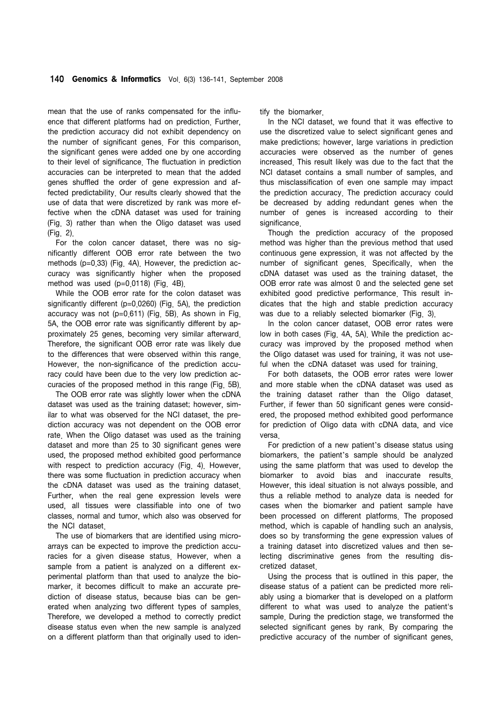mean that the use of ranks compensated for the influence that different platforms had on prediction. Further, the prediction accuracy did not exhibit dependency on the number of significant genes. For this comparison, the significant genes were added one by one according to their level of significance. The fluctuation in prediction accuracies can be interpreted to mean that the added genes shuffled the order of gene expression and affected predictability. Our results clearly showed that the use of data that were discretized by rank was more effective when the cDNA dataset was used for training (Fig. 3) rather than when the Oligo dataset was used (Fig. 2).

 For the colon cancer dataset, there was no significantly different OOB error rate between the two methods (p=0.33) (Fig. 4A). However, the prediction accuracy was significantly higher when the proposed method was used (p=0.0118) (Fig. 4B).

 While the OOB error rate for the colon dataset was significantly different (p=0.0260) (Fig. 5A), the prediction accuracy was not (p=0.611) (Fig. 5B). As shown in Fig. 5A, the OOB error rate was significantly different by approximately 25 genes, becoming very similar afterward. Therefore, the significant OOB error rate was likely due to the differences that were observed within this range. However, the non-significance of the prediction accuracy could have been due to the very low prediction accuracies of the proposed method in this range (Fig. 5B).

 The OOB error rate was slightly lower when the cDNA dataset was used as the training dataset; however, similar to what was observed for the NCI dataset, the prediction accuracy was not dependent on the OOB error rate. When the Oligo dataset was used as the training dataset and more than 25 to 30 significant genes were used, the proposed method exhibited good performance with respect to prediction accuracy (Fig. 4). However, there was some fluctuation in prediction accuracy when the cDNA dataset was used as the training dataset. Further, when the real gene expression levels were used, all tissues were classifiable into one of two classes, normal and tumor, which also was observed for the NCI dataset.

 The use of biomarkers that are identified using microarrays can be expected to improve the prediction accuracies for a given disease status. However, when a sample from a patient is analyzed on a different experimental platform than that used to analyze the biomarker, it becomes difficult to make an accurate prediction of disease status, because bias can be generated when analyzing two different types of samples. Therefore, we developed a method to correctly predict disease status even when the new sample is analyzed on a different platform than that originally used to identify the biomarker.

 In the NCI dataset, we found that it was effective to use the discretized value to select significant genes and make predictions; however, large variations in prediction accuracies were observed as the number of genes increased. This result likely was due to the fact that the NCI dataset contains a small number of samples, and thus misclassification of even one sample may impact the prediction accuracy. The prediction accuracy could be decreased by adding redundant genes when the number of genes is increased according to their significance

 Though the prediction accuracy of the proposed method was higher than the previous method that used continuous gene expression, it was not affected by the number of significant genes. Specifically, when the cDNA dataset was used as the training dataset, the OOB error rate was almost 0 and the selected gene set exhibited good predictive performance. This result indicates that the high and stable prediction accuracy was due to a reliably selected biomarker (Fig. 3).

 In the colon cancer dataset, OOB error rates were low in both cases (Fig. 4A, 5A). While the prediction accuracy was improved by the proposed method when the Oligo dataset was used for training, it was not useful when the cDNA dataset was used for training

 For both datasets, the OOB error rates were lower and more stable when the cDNA dataset was used as the training dataset rather than the Oligo dataset. Further, if fewer than 50 significant genes were considered, the proposed method exhibited good performance for prediction of Oligo data with cDNA data, and vice versa.

 For prediction of a new patient's disease status using biomarkers, the patient's sample should be analyzed using the same platform that was used to develop the biomarker to avoid bias and inaccurate results. However, this ideal situation is not always possible, and thus a reliable method to analyze data is needed for cases when the biomarker and patient sample have been processed on different platforms. The proposed method, which is capable of handling such an analysis, does so by transforming the gene expression values of a training dataset into discretized values and then selecting discriminative genes from the resulting discretized dataset.

 Using the process that is outlined in this paper, the disease status of a patient can be predicted more reliably using a biomarker that is developed on a platform different to what was used to analyze the patient's sample. During the prediction stage, we transformed the selected significant genes by rank. By comparing the predictive accuracy of the number of significant genes,